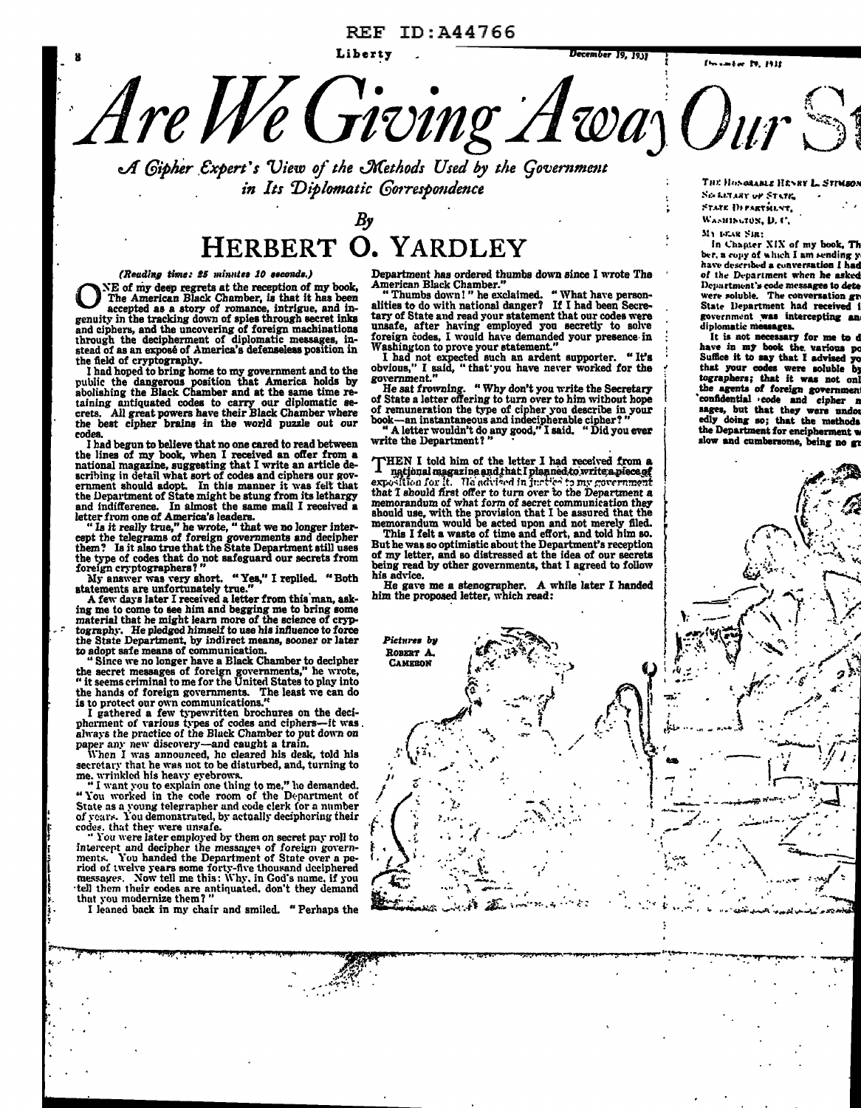# REF ID:A44766



*u1 @ipher .€xpert* • *s View of the JrCethods Used by the qo't•ernment in Its Diplomatic Gorrespondence* 

# *By*  HERBERT O. YARDLEY

*(Reading time: 25 minutes 10 seconds.)*<br>NE of my deep regrets at the reception of my book, ONE of my deep regrets at the reception of my book, The American Black Chamber, is that it has been accepted as a story of romance, intrigue, and ingenuity in the tracking down of spies through secret inks The American Black Chamber, is that it has been and ciphers, and the uncovering of foreign machinations through the decipherment of diplomatic messages, instead of as an expose of America's defenseless position in the field of cryptography.

I bad hoped to bring home to my government and to the public the dangerous position that America holds by abolishing the Black Chamber and at the same time retaining antiquated codes to carry our diplomatic se-<br>crets. All great powers have their Black Chamber where the best cipher brains in the world puzzle out our codes.

I had begun to believe that no one cared to read between the lines of my book, when I received an offer from a national magazine, suggesting that I write an article describing in detail what sort of codes and ciphers our gov-ernment should adopt. In this manner it was felt that the Department of State might be stung from its lethargy and indifference. In almost the same mail I received a letter from one of America's leaders. "Is it really true," he wrote, " that we no longer inter-

cept the telegrams of foreign governments and decipher them? Is it also true that the State Department still uses the type of codes that do not safeguard our secrets from foreign cryptographers?

My answer was very short. "Yes," I replied. "Both statements are unfortunately true."<br>A few days later I received a letter from this man, asking me to come to see him and begging me to bring some ing me in and begging me t the State Department, by indirect means, sooner or later to adopt safe means of communication.<br>"Since we no longer have a Black Chamber to decipher<br>the secret messages of foreign governments," he wrote,

" it seems criminal to me for the United States to play into<br>the hands of foreign governments. The least we can do<br>is to protect our own communications."<br>I gathered a few typewritten brochures on the deci-<br>pherment of var

secretary that he was not to be disturbed, and, turning to<br>me. wrinkled his heavy eyebrows.<br>"I want you to explain one thing to me," he demanded.<br>"You worked in the code room of the Department of<br>State as a young telegraph

1: I j t<br>tarihin<br>tarihin l<br>L f. *1* · '

·~

;""'~~·~::

u.

codes, that they were unsafe.<br>"You were later employed by them on secret pay roll to<br>intercept and decipher the messages of foreign govern-<br>ments. You handed the Department of State over a pe-<br>riod of twelve years some for messages. Now tell me this: Why, in God's name, if you tell them their codes are antiquated, don't they demand that you modernize them? "

I leaned back in my chair and smiled. " Perhaps the

Department has ordered thumbs down since I wrote The

American Black Chamber."<br>"Thumbs down!" he exclaimed. "What have personalities to do with national danger? If I had been Secretary of State and read your statement that our codes were unsafe, after having employed you secretly to solve foreign codes, I would have demanded your presence· in

Washington to prove your statement."<br>
I had not expected such an ardent supporter. "It's obvious," I said, "that you have never worked for the government."

He sat frowning. " Why don't you write the Secretary<br>of State a letter offering to turn over to him without hope of State a letter offering to turn over to him without hope of remuneration the type of cipher you describe in your book-an instantaneous and indecipherable cipher? "

" A letter wouldn't do any good," I said. " Did you ever write the Department? "

THEN I told him of the letter I had received from a national magazine and that I planned to write a piece of exposition for it. He advised in justice to my government that I abould first offer to turn over to the Departme

memorandum would be acted upon and not merely filed.<br>This I felt a waste of time and effort, and told him so.<br>But he was so optimistic about the Department's reception<br>of my letter, and so distressed at the idea of our sec being read by other governments, that I agreed to follow his advice.

his advice.<br>He gave me a stenographer. A while later I handed<br>him the proposed letter, which read:



.., .• . ¥.Ji!f,P!PS:i4S: PS'°!" P\ ' I 4 \*• "'· ,OfU • "''~PF .4,P"~-..,...,..,..-•• -~M-..,............l·: ..... """I'· .. - ..... ~ ............... ...,....~ •

THE HOSORABLE HENRY L. STIMBON Sis LETARY OF STATE, STATE DI PARTMENT, WASHINGTON, D. C.

~II 1•1"-lll ~la:

In Chapter XIX of my book, Th ber, a copy of which I am sending  $y$ have described a conversation I had of the Department when he asked Department's code messages to deterministic references<br>were soluble. The conversation gr State Department had received government was intercepting an<br>diplomatie-measages.

It is not necessary for me to have in my book the various po Suffice it to say that I advised that your codes were soluble by tographers; that it was not onl the agents of foreign government<br>confidential code and cipher n sages, but that they were undor edly doing so; that the methoda the Department for encipherment slow and cumbersome, being no gr

. .. .·

 $\ddotsc$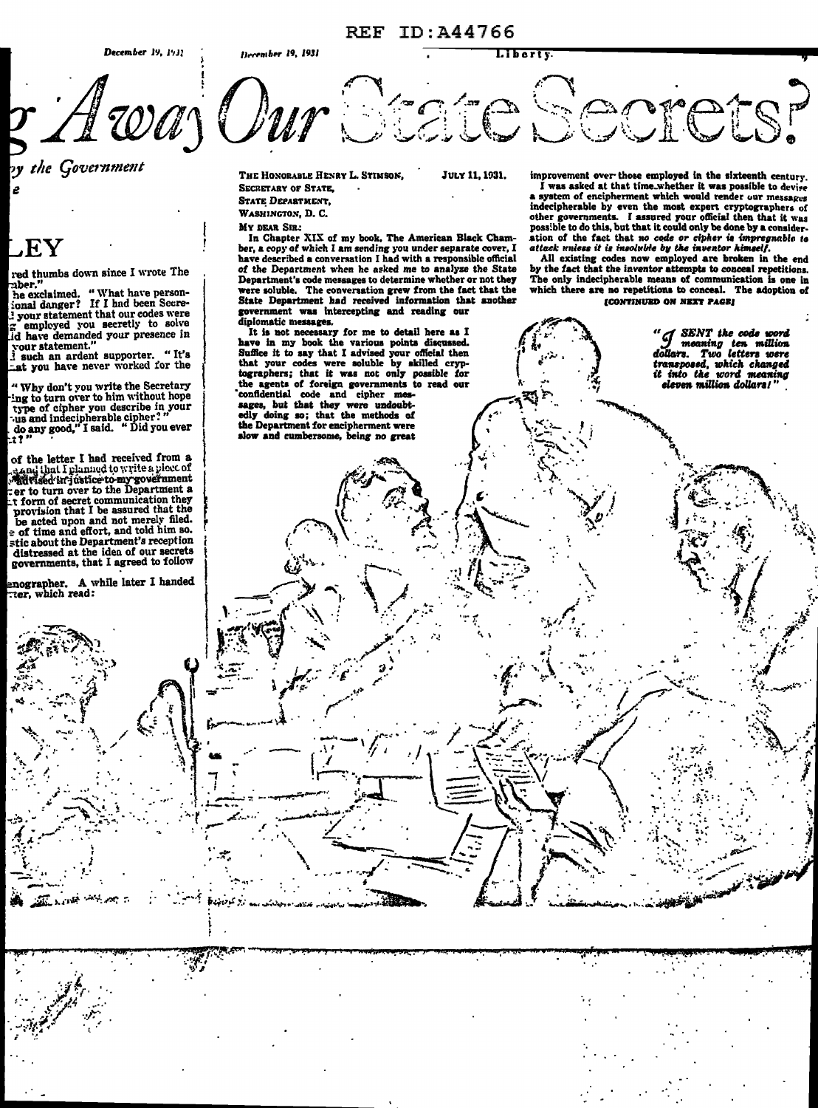

by the Government

# $\mathbf{R}$  . Finally,

red thumbs down since I wrote The nber.

he exclaimed. "What have personional danger? If I had been Secre-I your statement that our codes were  $\Xi$  your statement that our other is solve<br>id have demanded your presence in<br>your statement."<br> $\Xi$  such an ardent supporter. "It's

at you have never worked for the

" Why don't you write the Secretary ing to turn over to him without hope type of cipher you describe in your<br>type of cipher you describe in your<br>us and indecipherable cipher?"<br>do any good," I said. "Did you ever

of the letter I had received from a of the letter 1 had received from a<br>significant include to write a ploce of<br> $\frac{1}{2}$  and the comprometries to the Department<br>cer to turn over to the Department a<br>in form of secret communication they<br>provision that I be a

e of time and effort, and told him so. stic about the Department's reception<br>distressed at the idea of our secrets governments, that I agreed to follow

enographer. A while later I handed ter, which read:

THE HONORABLE HENRY L. STIMSON,

JULY 11, 1931.

**SECRETARY OF STATE, STATE DEPARTMENT.** WASHINGTON, D. C.

MY DEAR SIR:

In Chapter XIX of my book, The American Black Chamber, a copy of which I am sending you under separate cover, I have described a conversation I had with a responsible official of the Department when he asked me to analyze the State Department's code messages to determine whether or not they were soluble. The conversation grew from the fact that the<br>State Department had received information that another government was intercepting and reading our diplomatic messages.

It is not necessary for me to detail here as I the in my book the various points discussed.<br>Suffice it to say that I advised your official then<br>that your codes were soluble by skilled cryp-<br>tographers; that it was not only possible for<br>the agents of foreign governments confidential code and cipher measurements<br>sages, but that they were undoubtedly doing so; that the methods of<br>the Department for encipherment were slow and cumbersome, being no great

improvement over those employed in the sixteenth century.

I was asked at that time.whether it was possible to devise a system of encipherment which would render our messages indecipherable by even the most expert cryptographers of independent of the subset of the most expert cryptographers of other governments. I assured your official then that it was<br>possible to do this, but that it could only be done by a consideration of the fact that no code or

All existing codes now employed are broken in the end by the fact that the inventor attempts to conceal repetitions. The only indecipherable means of communication is one in which there are no repetitions to conceal. The adoption of **ICONTINUED ON NEXT PAGE!** 

> " J SENT the code word<br>J meaning ten million<br>dollars. Two letters were transposed, which changed<br>it into the word meaning eleven million dollars!"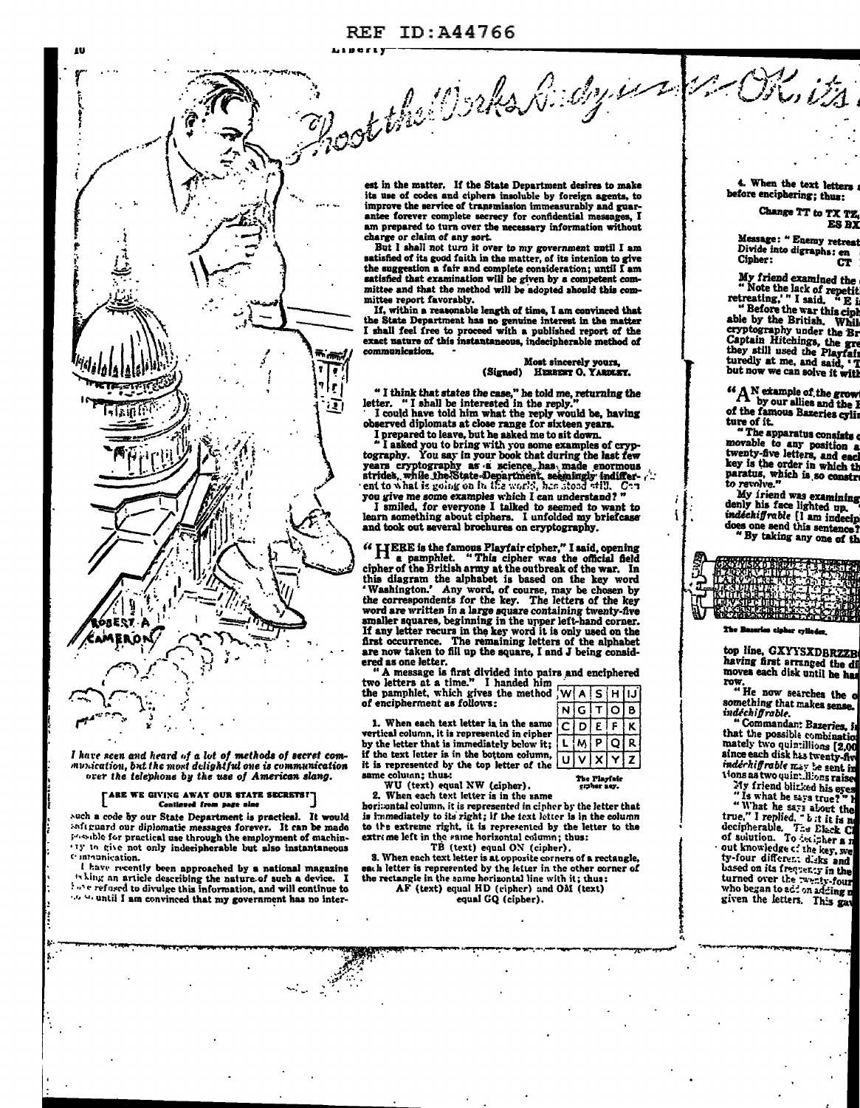

I have seen and heard of a lot of methods of secret com-<br>munication, but the most delightful one is communication over the telephone by the use of American slang.

## [ARE WE GIVING AWAY OUR STATE SECRETS!] Centinued from page alme

such a code by our State Department is practical. It would and guard our diplomatic messages forever. It can be made lessable for practical use through the employment of machin-13 to give not only indecipherable but also instantaneous Communication.

I have recently been approached by a national magazine " hing an article describing the nature of such a device. I the refused to divulge this information, and will continue to the state of the information, and will continue to

est in the matter. If the State Department desires to make its use of codes and ciphers insoluble by foreign agents, to improve the service of transmission immeasurably and guarantee forever complete secrecy for confidential messages, I am prepared to turn over the necessary information without charge or claim of any sort.

But I shall not turn it over to my government until I am satisfied of its good faith in the matter, of its intenion to give the suggestion a fair and complete consideration; until I am satisfied that examination will be given by a competent committee and that the method will be adopted should this committee report favorably.

If, within a reasonable length of time, I am convinced that the State Department has no genuine interest in the matter I shall feel free to proceed with a published report of the exact nature of this instantaneous, indecipherable method of communication.

### Most sincerely yours,<br>HEREET O. YARDLEY. (Signed)

" I think that states the case," he told me, returning the letter. " I shall be interested in the reply." I could have told him what the reply would be, having

observed diplomats at close range for sixteen years.

Direpared to leave, but he asked me to sit down.<br>I prepared to leave, but he asked me to sit down.<br>"I asked you to bring with you some examples of cryp-<br>tography. You say in your book that during the last few vears cryptography as a science, has made enormous<br>strides, while the State-Department, seemingly indifferyou give me some examples which I can understand?"<br>I smiled, for everyone I talked to seemed to want to

earn something about ciphers. I unfolded my briefcase

"HERE is the famous Playfair cipher," I said, opening<br>I a pamphlet. "This cipher was the official field cipher of the British army at the outbreak of the war. In this diagram the alphabet is based on the key word<br>
"Washington." Any word, of course, may be chosen by<br>
the correspondents for the key. The letters of the key<br>
word are written in a large square containing twenty-five smaller squares, beginning in the upper left-hand corner. If any letter recurs in the key word it is only used on the<br>first occurrence. The remaining letters of the alphabet<br>are now taken to fill up the square, I and J being considered as one letter.

"A message is first divided into pairs and enciphered<br>two letters at a time." I handed him<br>the pamphlet, which gives the method  $\sqrt{W(A \mid S \mid H \mid J)}$ <br>of encipherment as follows:

1. When each text letter is in the same if the text letter is in the bottom column, it is represented by the top letter of the same column; thus:<br>WU (text) equal NW (cipher).<br>2. When each text letter is in the same

horizontal column, it is represented in cipher by the letter that is immediately to its right; if the text letter is in the column to the extreme right, it is represented by the letter to the extreme left in the same horizontal column; thus:<br>TB (text) equal ON (cipher).

3. When each text letter is at opposite corners of a rectangle, each letter is represented by the letter in the other corner of the rectangle in the same horizontal line with it; thus:<br>AF (text) equal HD (cipher) and OM (text)<br>equal GQ (cipher).

 $N$  $G$  $T$  $O$  $B$ CDEF l ĸ İQ R u]  $\sqrt{x}$ Ÿ z

**The Playfair**<br>craher nev

4. When the text letters before enciphering; thus:

# Change TT to TX TZ, ES BX

Message: " Enemy retres Divide into digraphs: en Cipher:  $\overline{\mathbf{C}}$ 

My friend examined the<br>"Note the lack of repetit<br>retreating," I said. "E i

retreating," I said, " E is<br>able by the Bratish, While<br>able by the British, While<br>cryptography under the Br<br>Captain Hitchings, the gree<br>they still used the Playfair<br>turedly at me, and said, 'T<br>hart now we can solve it wit but now we can solve it with

 $A_N^{\text{N} \text{ example of the growth}}$  by our allies and the I of the famous Bazeries cylin ture of it.

"The apparatus consists The apparatus communes where the any position as twenty-five letters, and each key is the order in which the paratus, which is so constru to revolve."

My iriend was examining denly his face lighted up.<br>indechifrable [I am indecip does one send this sentence?

The Bazeries cloker cylinds

top line, GXYYSXDBRZZB having first arranged the di row

"He now searches the officers of the compething that makes sense.

something that makes sense,<br>indechifyrable.<br>"Commandan: Bazeries, is<br>that the possible combination<br>mately two quintillions [2,00<br>since each disk has twenty-five<br>indicationals has twenty-five indechiffrable n.e. te sent in tions as two quint.llions raise

Now such that the same of the second in the same of the same of the same of the same of the same of the same of the same of solution. To detect the same of the same of the same of the same of the same of the same of the sa ty-four different disks and based on its frequency in the turned over the rearty-four who began to add on adding n given the letters. This gas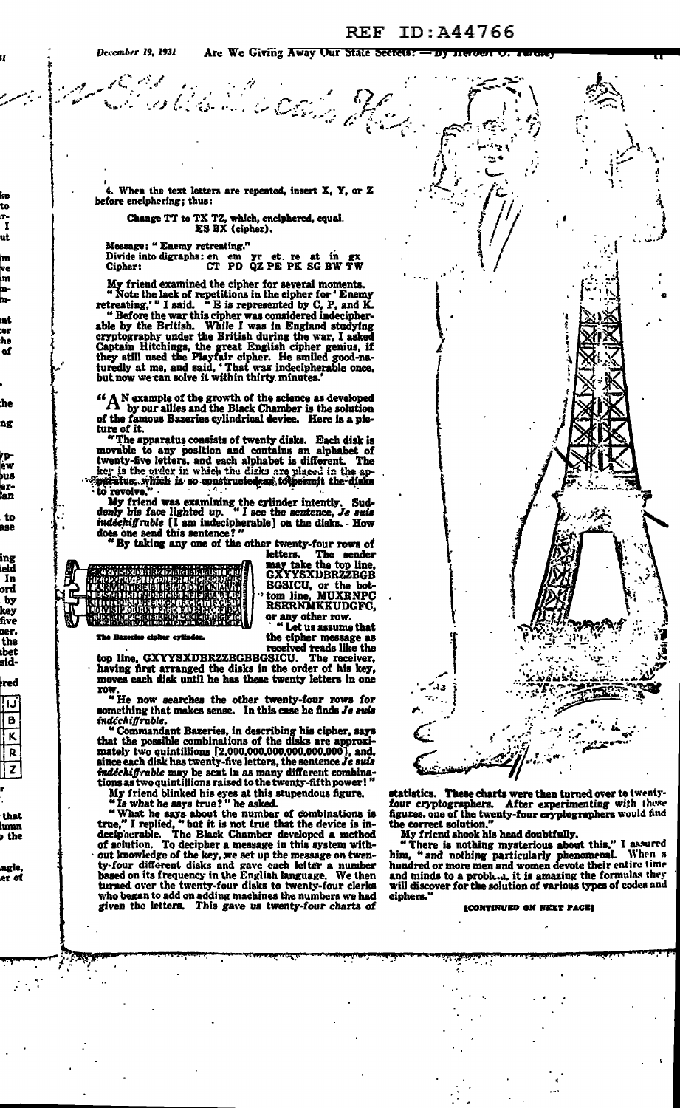to

r. ī ut

m ve m

mm nt.

er. he of

:he ng

rp<br>ew pus er-<br>¦an

ese

ing eld In

ord by<br>key

five ner.

the

ıbet sid-

red

! 1. í

∤ B  $\overline{\mathbf{K}}$  $\mathbf{R}$ z

that lumn

b the

ngle er of

 $\mathcal{L}^{\text{max}}$ 

BG 1

4. When the text letters are repeated, insert  $X$ ,  $Y$ , or  $Z$ before enciphering; thus:

Change TT to TX TZ, which, enciphered, equal.<br>ES BX (cipher).

Message: "Enemy retreating."

Divide into digraphs: en em yr et. re at in gx<br>Cipher: CT PD QZ PE PK SG BW TW

My friend examined the cipher for several moments.<br>"Note the lack of repetitions in the cipher for  $^{\circ}$  Enemy retreating,"  $^{\prime}$  I said. "E is represented by C, P, and K.<br>"Before the war this cipher was considered inde

Before the war thus cipner was considered indecupher-<br>able by the British. While I was in England studying<br>cryptography under the British during the war, I asked<br>Captain Hitchings, the great English cipher genius, if<br>they but now we can solve it within thirty minutes.

 $\Lambda$  N example of the growth of the science as developed  $\Lambda$  by our allies and the Black Chamber is the solution of the famous Bazeries cylindrical device. Here is a picture of it.

ture of it.<br>
"The apparatus consists of twenty disks. Each disk is<br>
"The apparatus consists of twenty-five betters, and each alphabet is different. The<br>
key is the order in which the disks are placed in the apperatus, whic

My friend was examining the cylinder intently. Suddenly his face lighted up. "I see the sentence, Je suis indeckiff ruble [I am indecipherable] on the disks. How does one send this sentence?"<br>"By taking any one of the othe

letters. The sender<br>may take the top line,<br>GXYYSXDBRZZBGB BGSICU, or the bot-<br>tom line, MUXRNPC<br>RSRRNMKKUDGFC, or any other row.<br>"Let us assume that

the cipher message as

e evih

received reads like the<br>top line, GXYYSXDBRZZBGBBGSICU. The receiver,<br>having first arranged the disks in the order of his key, moves each disk until he has these twenty letters in one **TOW** 

"He now searches the other twenty-four rows for<br>something that makes sense. In this case he finds Je suis

indichtlift able.<br>
"Commandant Bazeries, in describing his cipher, says<br>
that the possible combinations of the disks are approximately two quintillions [2,000,000,000,000,000,000], and,<br>
since each disk has twenty-five let indechiffrable may be sent in as many different combina-<br>tions as two quintillions raised to the twenty-fifth power!" My friend blinked his eyes at this stupendous figure.<br>"Is what he says true?" he asked.

"Is what he says true?" he asked.<br>"What he says about the number of combinations is<br>true," I replied, " but it is not true that the device is in-<br>decipherable. The Black Chamber developed a method<br>of solution. To decipher given the letters. This gave us twenty-four charts of



statistics. These charts were then turned over to twentyfour cryptographers. After experimenting with these<br>figures, one of the twenty-four cryptographers would find<br>the correct solution."

the correct solution."<br>
My friend shook his head doubtfully.<br>
"There is nothing mysterious about this," I assured<br>
him, " and nothing particularly phenomenal. When a<br>
hundred or more men and women devote their entire time<br> ciphers.

(CONTINUED ON NEXT PAGE)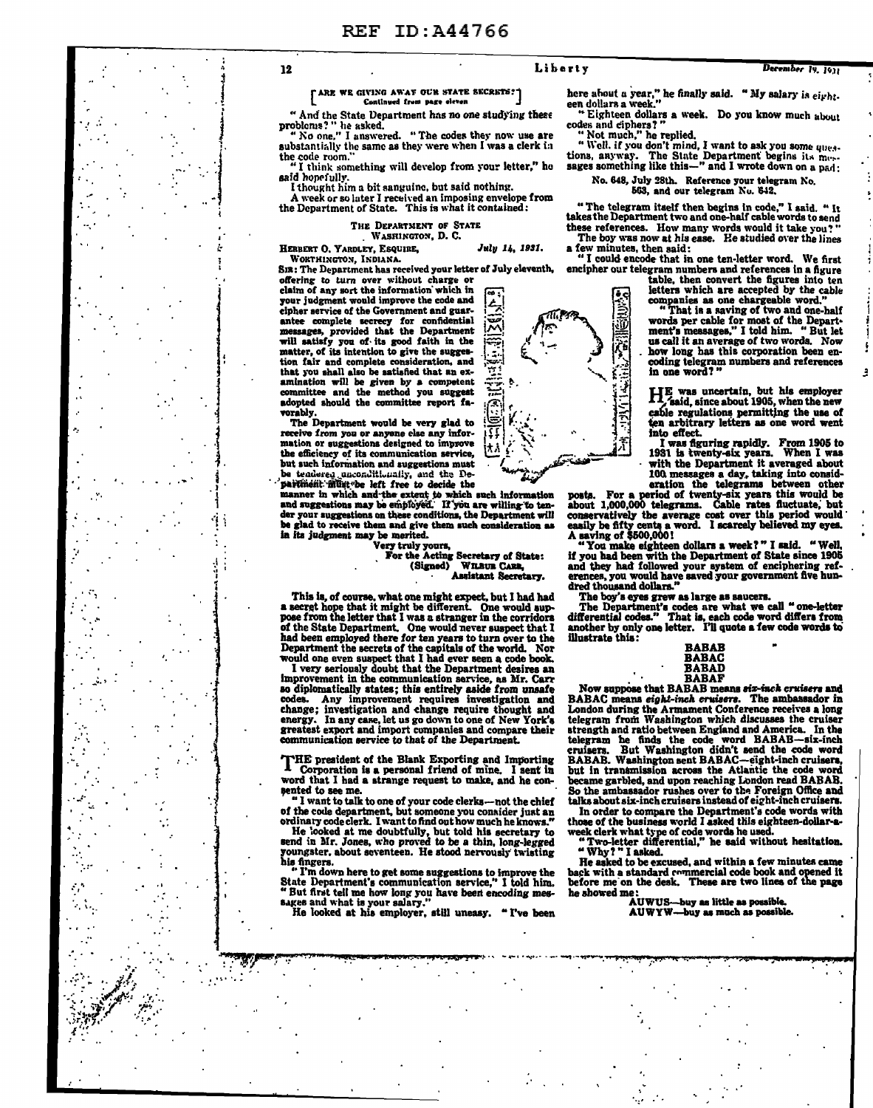12

#### *TARE WE GIVING AWAY OUR STATE SECRETS!* Cantinued from page eleven

" And the State Department has no one studying these<br>problems?" he asked.<br>" No one." I answered. " The codes they now use are

substantially the same as they were when I was a clerk in the code room.

I think something will develop from your letter," he said honeiully.

I thought him a bit sanguine, but said nothing.

A week or so later I received an imposing envelope from<br>the Department of State. This is what it contained:

## THE DEPARTMENT OF STATE

WASRINGTON, D. C. July 14, 1931.

HERBERT O. YARDLEY, ESQUIRE. WORTHINGTON, INDIANA.

SIR: The Department has received your letter of July eleventh,

offering to turn over without charge or claim of any sort the information which in your judgment would improve the code and cipher service of the Government and guarexplore service of the dovernment and gas-<br>messages, provided that the Department<br>will satisfy you of its good faith in the<br>matter, of its intention to give the suggestion fair and complete consideration, and that you shall also be satisfied that an ex-<br>amination will be given by a competent<br>committee and the method you suggest adopted should the committee report favorably.

The Department would be very glad to receive from you or anyone else any information or suggestions designed to improve the efficiency of its communication service, but such information and suggestions must but such information and suggestions must<br>be tendered unconditionally, and the De-

paramer in which and the extent to which such information<br>and suggestions may be employed. If you are willing to ten-<br>der your suggestions on these conditions, the Department will be glad to receive them and give them such consideration as

in its judgment may be merited.<br>
The May be merited.<br>
The May be merited.<br>
The Acting Secretary of State:<br>
(Signed) WILBUR CARR, Assistant Secretary.

This is, of course, what one might expect, but I had had<br>a secret hope that it might be different. One would sup-<br>pose from the letter that I was a stranger in the corridors<br>of the State Department. One would never suspect

There eriously doubt that the Department desires an improvement in the communication service, as Mr. Carr so diplomatically states; this entirely aside from unsafe codes. Any improvement requires investigation and change; investigation and change; energy. In any case, let us go down to one of New York's<br>greatest export and import companies and compare their<br>communication service to that of the Department.

THE president of the Blank Exporting and Importing<br>Corporation is a personal friend of mine. I sent in word that I had a strange request to make, and he consented to see me.

"I want to talk to one of your code clerks-not the chief

I want to talk to one or your code cierks—not the chief<br>of the code department, but someone you consider just an<br>ordinary code clerk. I want to find out how much he knows."<br>He looked at me doubtfully, but told his secretar

"I'm down here to get some suggestions to improve the<br>State Department's communication service," I told him.<br>" " But first tell me how long you have been encoding mes-<br>sages and what is your salary."<br>He looked at his employer, still uneasy. "I've been

here about a year," he finally said. " My salary is  $e_{i}$ rht. een dollars a week."<br>"Eighteen dollars a week. Do you know much about

codes and ciphers?"<br>"Not much," he replied.<br>"Well, if you don't mind, I want to ask you some ques-<br>tions, anyway. The State Department begins its mes-<br>sages something like this—" and I wrote down on a pad;

No. 648, July 28th. Reference your telegram No.<br>563, and our telegram No. 642.

"The telegram itself then begins in code," I said. "It takes the Department two and one-half cable words to send these references. How many words would it take you?"

The boy was now at his ease. He studied over the lines a few minutes, then said: "I could encode that in one ten-letter word. We first

encipher our telegram numbers and references in a figure

table, then convert the figures into ten letters which are accepted by the cable<br>companies as one chargeable word."

That is a saving of two and one-half words per cable for most of the Depart-<br>ment's measages," I told him. " But let us call it an average of two words. Now how long has this corporation been encoding telegram numbers and references in one word?

HE was uncertain, but his employer 1. said, since about 1905, when the new cable regulations permitting the use of ten arbitrary letters as one word went into effect.

I was figuring rapidly. From 1905 to<br>1931 is twenty-six years. When I was<br>with the Department it averaged about 100 messages a day, taking into consideration the telegrams between other

eration the telegrams between other<br>about 1,000,000 telegrams. Cable rates this would be<br>about 1,000,000 telegrams. Cable rates fluctuate, but<br>conservatively the average cost over this period would<br>easily be fifty cents a

if you had been with the Department of State since 1905<br>and they had followed your system of enciphering references, you would have saved your government five hundred thousand dollars.'

The boy's eyes grew as large as saucers.

The Department's codes are what we call "one-letter<br>differential codes." That is, each code word differs from<br>another by only one letter. I'll quote a few code words to illustrate this:

| <b>BABAB</b> |  |
|--------------|--|
| BABAC        |  |
| <b>BABAD</b> |  |
| RABAF        |  |

Now suppose that BABAB means six-inch cruisers and<br>BABAC means eight-inch cruisers. The ambassador in<br>London during the Armament Conference receives a long London during the Armament Conterence receives a long<br>telegram from Washington which discusses the cruiser<br>teragth and ratio between England and America. In the<br>telegram he finds the code word BABAB—six-inch<br>cruisers. But became garbled, and upon reaching London read BABAB. So the ambassador rushes over to the Foreign Office and talks about six-inch cruisers instead of eight-inch cruisers.

In order to compare the Department's code words with<br>those of the business world I asked this eighteen-dollar-a-

stroke of the business world I asked this eighteen-douar-a-<br>week clerk what type of code words he used.<br>" Two-letter differential," he said without hesitation.<br>"Why? " I asked.<br>He asked to be excused, and within a few minu

In a shear to be accused, and when the back with a standard commercial code book and opened it<br>before me on the desk. These are two lines of the page he showed me:<br>AUWUS—buy as little as possible.

AUWYW-buy as much as possible.

 $\pi$ P ٨ŕ December 19, 1931



Liberty